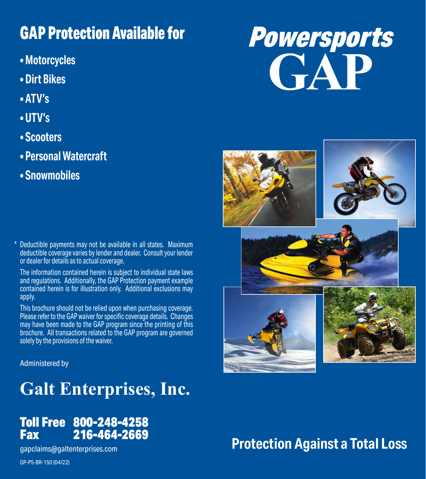### GAP Protection Available for

- **Motorcycles**
- **Dirt Bikes**
- **ATV's**
- **UTV's**
- **Scooters**
- **Personal Watercraft**
- **Snowmobiles**

Deductible payments may not be available in all states. Maximum deductible coverage varies by lender and dealer. Consult your lender or dealer for details as to actual coverage. \*

The information contained herein is subject to individual state laws and regulations. Additionally, the GAP Protection payment example contained herein is for illustration only. Additional exclusions may apply.

This brochure should not be relied upon when purchasing coverage. Please refer to the GAP waiver for specific coverage details. Changes may have been made to the GAP program since the printing of this brochure. All transactions related to the GAP program are governed solely by the provisions of the waiver.

Administered by

### **Galt Enterprises, Inc.**

#### Toll Free 800-248-4258 216-464-2669

gapclaims@galtenterprises.com

GP-PS-BR-150 (04/22)

# Powersports **GAP**



### **Protection Against a Total Loss**